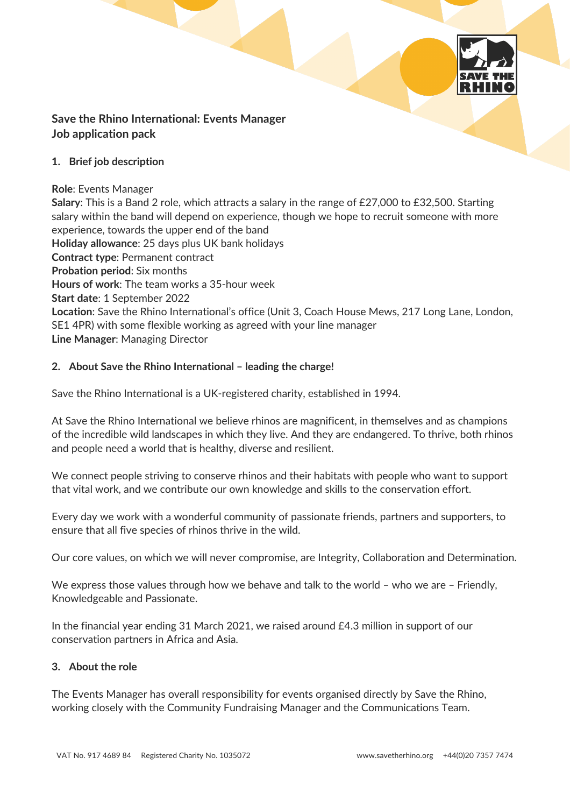

# **Save the Rhino International: Events Manager Job application pack**

### **1. Brief job description**

### **Role**: Events Manager

**Salary**: This is a Band 2 role, which attracts a salary in the range of £27,000 to £32,500. Starting salary within the band will depend on experience, though we hope to recruit someone with more experience, towards the upper end of the band **Holiday allowance**: 25 days plus UK bank holidays **Contract type**: Permanent contract **Probation period**: Six months **Hours of work**: The team works a 35-hour week **Start date**: 1 September 2022 **Location**: Save the Rhino International's office (Unit 3, Coach House Mews, 217 Long Lane, London, SE1 4PR) with some flexible working as agreed with your line manager **Line Manager**: Managing Director

### **2. About Save the Rhino International – leading the charge!**

Save the Rhino International is a UK-registered charity, established in 1994.

At Save the Rhino International we believe rhinos are magnificent, in themselves and as champions of the incredible wild landscapes in which they live. And they are endangered. To thrive, both rhinos and people need a world that is healthy, diverse and resilient.

We connect people striving to conserve rhinos and their habitats with people who want to support that vital work, and we contribute our own knowledge and skills to the conservation effort.

Every day we work with a wonderful community of passionate friends, partners and supporters, to ensure that all five species of rhinos thrive in the wild.

Our core values, on which we will never compromise, are Integrity, Collaboration and Determination.

We express those values through how we behave and talk to the world – who we are – Friendly, Knowledgeable and Passionate.

In the financial year ending 31 March 2021, we raised around £4.3 million in support of our conservation partners in Africa and Asia.

### **3. About the role**

The Events Manager has overall responsibility for events organised directly by Save the Rhino, working closely with the Community Fundraising Manager and the Communications Team.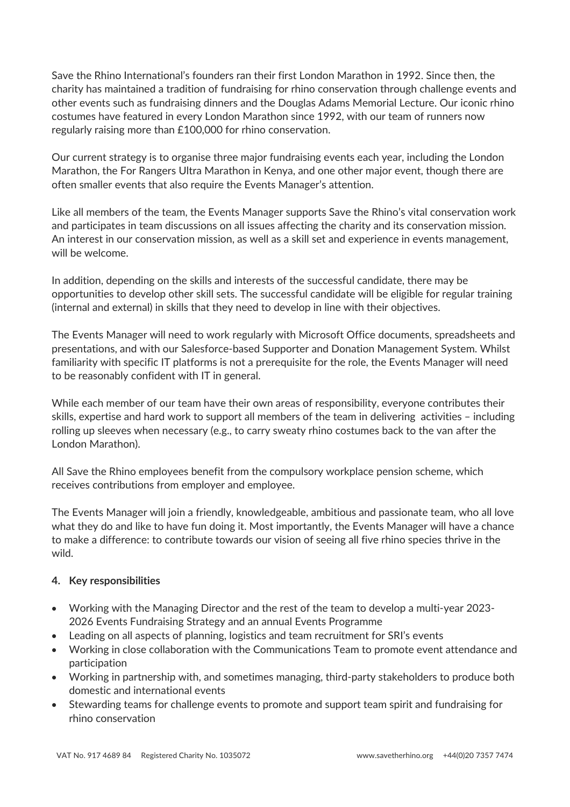Save the Rhino International's founders ran their first London Marathon in 1992. Since then, the charity has maintained a tradition of fundraising for rhino conservation through challenge events and other events such as fundraising dinners and the Douglas Adams Memorial Lecture. Our iconic rhino costumes have featured in every London Marathon since 1992, with our team of runners now regularly raising more than £100,000 for rhino conservation.

Our current strategy is to organise three major fundraising events each year, including the London Marathon, the For Rangers Ultra Marathon in Kenya, and one other major event, though there are often smaller events that also require the Events Manager's attention.

Like all members of the team, the Events Manager supports Save the Rhino's vital conservation work and participates in team discussions on all issues affecting the charity and its conservation mission. An interest in our conservation mission, as well as a skill set and experience in events management, will be welcome.

In addition, depending on the skills and interests of the successful candidate, there may be opportunities to develop other skill sets. The successful candidate will be eligible for regular training (internal and external) in skills that they need to develop in line with their objectives.

The Events Manager will need to work regularly with Microsoft Office documents, spreadsheets and presentations, and with our Salesforce-based Supporter and Donation Management System. Whilst familiarity with specific IT platforms is not a prerequisite for the role, the Events Manager will need to be reasonably confident with IT in general.

While each member of our team have their own areas of responsibility, everyone contributes their skills, expertise and hard work to support all members of the team in delivering activities – including rolling up sleeves when necessary (e.g., to carry sweaty rhino costumes back to the van after the London Marathon).

All Save the Rhino employees benefit from the compulsory workplace pension scheme, which receives contributions from employer and employee.

The Events Manager will join a friendly, knowledgeable, ambitious and passionate team, who all love what they do and like to have fun doing it. Most importantly, the Events Manager will have a chance to make a difference: to contribute towards our vision of seeing all five rhino species thrive in the wild.

## **4. Key responsibilities**

- Working with the Managing Director and the rest of the team to develop a multi-year 2023- 2026 Events Fundraising Strategy and an annual Events Programme
- Leading on all aspects of planning, logistics and team recruitment for SRI's events
- Working in close collaboration with the Communications Team to promote event attendance and participation
- Working in partnership with, and sometimes managing, third-party stakeholders to produce both domestic and international events
- Stewarding teams for challenge events to promote and support team spirit and fundraising for rhino conservation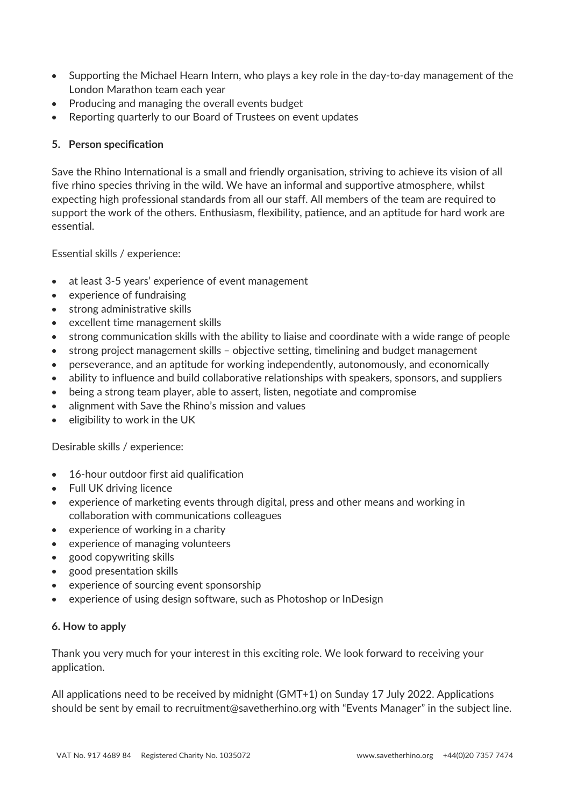- Supporting the Michael Hearn Intern, who plays a key role in the day-to-day management of the London Marathon team each year
- Producing and managing the overall events budget
- Reporting quarterly to our Board of Trustees on event updates

## **5. Person specification**

Save the Rhino International is a small and friendly organisation, striving to achieve its vision of all five rhino species thriving in the wild. We have an informal and supportive atmosphere, whilst expecting high professional standards from all our staff. All members of the team are required to support the work of the others. Enthusiasm, flexibility, patience, and an aptitude for hard work are essential.

Essential skills / experience:

- at least 3-5 years' experience of event management
- experience of fundraising
- strong administrative skills
- excellent time management skills
- strong communication skills with the ability to liaise and coordinate with a wide range of people
- strong project management skills objective setting, timelining and budget management
- perseverance, and an aptitude for working independently, autonomously, and economically
- ability to influence and build collaborative relationships with speakers, sponsors, and suppliers
- being a strong team player, able to assert, listen, negotiate and compromise
- alignment with Save the Rhino's mission and values
- eligibility to work in the UK

Desirable skills / experience:

- 16-hour outdoor first aid qualification
- Full UK driving licence
- experience of marketing events through digital, press and other means and working in collaboration with communications colleagues
- experience of working in a charity
- experience of managing volunteers
- good copywriting skills
- good presentation skills
- experience of sourcing event sponsorship
- experience of using design software, such as Photoshop or InDesign

### **6. How to apply**

Thank you very much for your interest in this exciting role. We look forward to receiving your application.

All applications need to be received by midnight (GMT+1) on Sunday 17 July 2022. Applications should be sent by email to recruitment@savetherhino.org with "Events Manager" in the subject line.